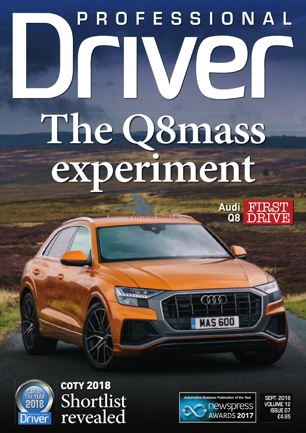## PROFESSIONAL NIE The Q8mass experiment

ro Driver Media Ltd

Audi FIRST<br>Q8 DRIVE



**COTY 2018** Shortlist revealed



ŒŒ

**MAS 600** 

**SEPT. 2018 VOLUME 12 ISSUE 07** £4.95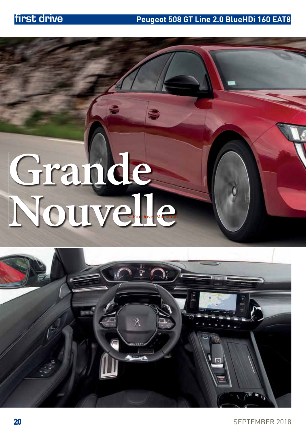# **Grande** NOUV C<sup>Pro Drive</sup>r Media Ltd



SEPTEMBER 2018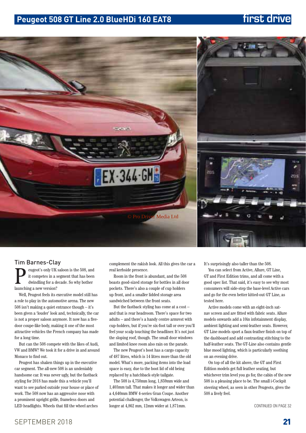## **Peugeot 508 GT Line 2.0 BlueHDi 160 EAT8 first drive**



### Tim Barnes-Clay

Peugeot's only UK saloon is the 508, and<br>it competes in a segment that has been<br>dwindling for a decade. So why bother<br>launching a new version? it competes in a segment that has been dwindling for a decade. So why bother launching a new version?

Well, Peugeot feels its executive model still has a role to play in the automotive arena. The new 508 isn't making a quiet entrance though – it's been given a 'louder' look and, technically, the car is not a proper saloon anymore. It now has a fivedoor coupe-like body, making it one of the most attractive vehicles the French company has made for a long time.

But can the 508 compete with the likes of Audi, VW and BMW? We took it for a drive in and around Monaco to find out.

Peugeot has shaken things up in the executive car segment. The all-new 508 is an undeniably handsome car. It was never ugly, but the fastback styling for 2018 has made this a vehicle you'll want to see parked outside your house or place of work. The 508 now has an aggressive nose with a prominent upright grille, frameless doors and LED headlights. Wheels that fill the wheel arches

complement the rakish look. All this gives the car a real kerbside presence.

Room in the front is abundant, and the 508 boasts good-sized storage for bottles in all door pockets. There's also a couple of cup holders up front, and a smaller lidded storage area sandwiched between the front seats.

But the fastback styling has come at a cost – and that is rear headroom. There's space for two adults – and there's a handy centre armrest with cup-holders, but if you're six-foot tall or over you'll feel your scalp touching the headliner. It's not just the sloping roof, though. The small door windows and limited knee room also rain on the parade.

The new Peugeot's boot has a cargo capacity of 487 litres, which is 14 litres more than the old model. What's more, packing items into the load space is easy, due to the boot lid of old being replaced by a hatchback-style tailgate.

The 508 is 4,750mm long, 1,859mm wide and 1,403mm tall. That makes it longer and wider than a 4,640mm BMW 4-series Gran Coupe. Another potential challenger, the Volkswagen Arteon, is longer at 4,862 mm, 12mm wider at 1,871mm.

It's surprisingly also taller than the 508.

You can select from Active, Allure, GT Line, GT and First Edition trims, and all come with a good spec list. That said, it's easy to see why most consumers will side-step the base-level Active cars and go for the even better kitted-out GT Line, as tested here.

Active models come with an eight-inch satnav screen and are fitted with fabric seats. Allure models onwards add a 10in infotainment display, ambient lighting and semi-leather seats. However, GT Line models sport a faux-leather finish on top of the dashboard and add contrasting stitching to the half-leather seats. The GT-Line also contains gentle blue mood lighting, which is particularly soothing on an evening drive.

On top of all the kit above, the GT and First Edition models get full leather seating, but whichever trim level you go for, the cabin of the new 508 is a pleasing place to be. The small i-Cockpit steering wheel, as seen in other Peugeots, gives the 508 a lively feel.